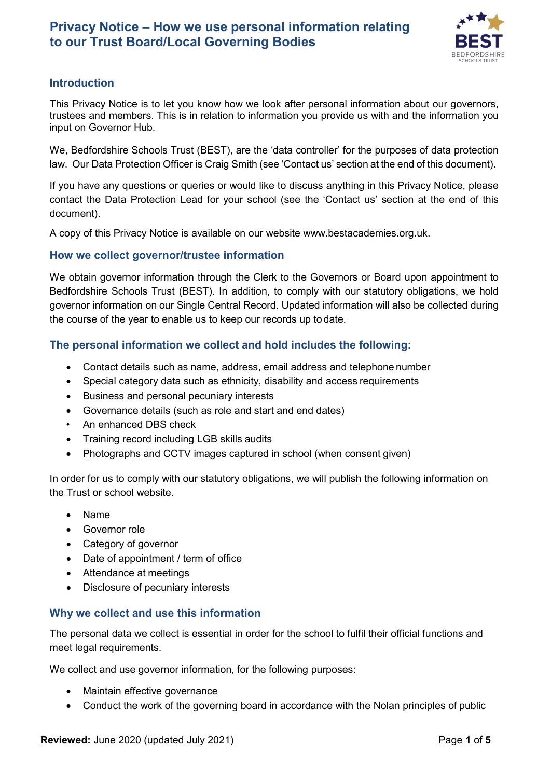

# **Introduction**

This Privacy Notice is to let you know how we look after personal information about our governors, trustees and members. This is in relation to information you provide us with and the information you input on Governor Hub.

We, Bedfordshire Schools Trust (BEST), are the 'data controller' for the purposes of data protection law. Our Data Protection Officer is Craig Smith (see 'Contact us' section at the end of this document).

If you have any questions or queries or would like to discuss anything in this Privacy Notice, please contact the Data Protection Lead for your school (see the 'Contact us' section at the end of this document).

A copy of this Privacy Notice is available on our website [www.bestacademies.org.uk.](http://www.bestacademies.org.uk/)

## **How we collect governor/trustee information**

We obtain governor information through the Clerk to the Governors or Board upon appointment to Bedfordshire Schools Trust (BEST). In addition, to comply with our statutory obligations, we hold governor information on our Single Central Record. Updated information will also be collected during the course of the year to enable us to keep our records up to date.

# **The personal information we collect and hold includes the following:**

- Contact details such as name, address, email address and telephone number
- Special category data such as ethnicity, disability and access requirements
- Business and personal pecuniary interests
- Governance details (such as role and start and end dates)
- An enhanced DBS check
- Training record including LGB skills audits
- Photographs and CCTV images captured in school (when consent given)

In order for us to comply with our statutory obligations, we will publish the following information on the Trust or school website.

- Name
- Governor role
- Category of governor
- Date of appointment / term of office
- Attendance at meetings
- Disclosure of pecuniary interests

## **Why we collect and use this information**

The personal data we collect is essential in order for the school to fulfil their official functions and meet legal requirements.

We collect and use governor information, for the following purposes:

- Maintain effective governance
- Conduct the work of the governing board in accordance with the Nolan principles of public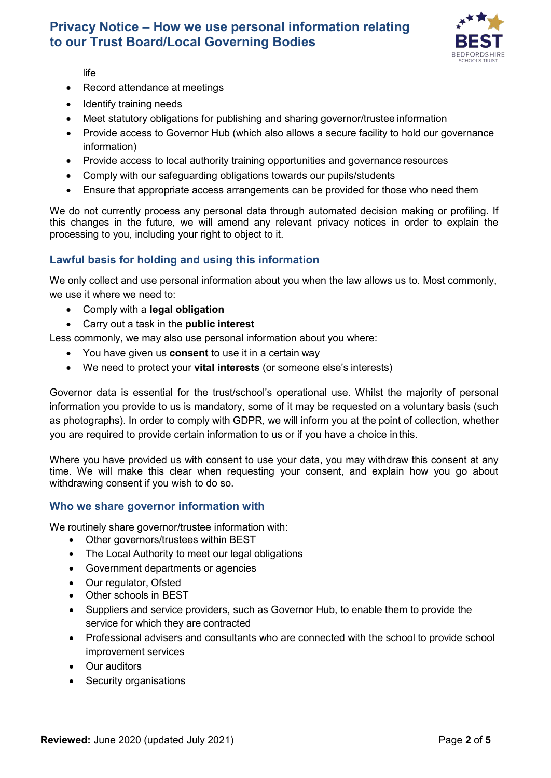

life

- Record attendance at meetings
- Identify training needs
- Meet statutory obligations for publishing and sharing governor/trustee information
- Provide access to Governor Hub (which also allows a secure facility to hold our governance information)
- Provide access to local authority training opportunities and governance resources
- Comply with our safeguarding obligations towards our pupils/students
- Ensure that appropriate access arrangements can be provided for those who need them

We do not currently process any personal data through automated decision making or profiling. If this changes in the future, we will amend any relevant privacy notices in order to explain the processing to you, including your right to object to it.

## **Lawful basis for holding and using this information**

We only collect and use personal information about you when the law allows us to. Most commonly, we use it where we need to:

- Comply with a **legal obligation**
- Carry out a task in the **public interest**

Less commonly, we may also use personal information about you where:

- You have given us **consent** to use it in a certain way
- We need to protect your **vital interests** (or someone else's interests)

Governor data is essential for the trust/school's operational use. Whilst the majority of personal information you provide to us is mandatory, some of it may be requested on a voluntary basis (such as photographs). In order to comply with GDPR, we will inform you at the point of collection, whether you are required to provide certain information to us or if you have a choice inthis.

Where you have provided us with consent to use your data, you may withdraw this consent at any time. We will make this clear when requesting your consent, and explain how you go about withdrawing consent if you wish to do so.

## **Who we share governor information with**

We routinely share governor/trustee information with:

- Other governors/trustees within BEST
- The Local Authority to meet our legal obligations
- Government departments or agencies
- Our regulator, Ofsted
- Other schools in BEST
- Suppliers and service providers, such as Governor Hub, to enable them to provide the service for which they are contracted
- Professional advisers and consultants who are connected with the school to provide school improvement services
- Our auditors
- Security organisations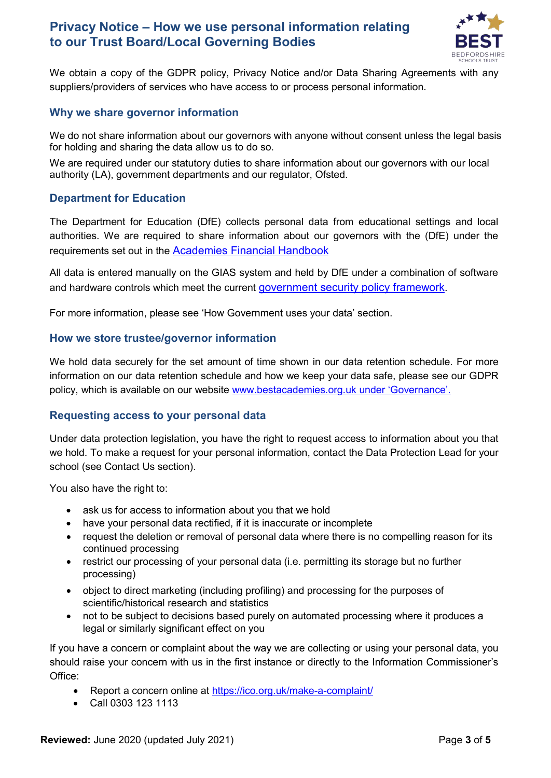

We obtain a copy of the GDPR policy, Privacy Notice and/or Data Sharing Agreements with any suppliers/providers of services who have access to or process personal information.

### **Why we share governor information**

We do not share information about our governors with anyone without consent unless the legal basis for holding and sharing the data allow us to do so.

We are required under our statutory duties to share information about our governors with our local authority (LA), government departments and our regulator, Ofsted.

### **Department for Education**

The Department for Education (DfE) collects personal data from educational settings and local authorities. We are required to share information about our governors with the (DfE) under the requirements set out in the **Academies Financial Handbook** 

All data is entered manually on the GIAS system and held by DfE under a combination of software and hardware controls which meet the current [government security policy framework.](https://www.gov.uk/government/publications/security-policy-framework)

For more information, please see 'How Government uses your data' section.

#### **How we store trustee/governor information**

We hold data securely for the set amount of time shown in our data retention schedule. For more information on our data retention schedule and how we keep your data safe, please see our GDPR policy, which is available on our website [www.bestacademies.org.uk under '](http://www.bestacademies.org.ukunder/)Governance'.

## **Requesting access to your personal data**

Under data protection legislation, you have the right to request access to information about you that we hold. To make a request for your personal information, contact the Data Protection Lead for your school (see Contact Us section).

You also have the right to:

- ask us for access to information about you that we hold
- have your personal data rectified, if it is inaccurate or incomplete
- request the deletion or removal of personal data where there is no compelling reason for its continued processing
- restrict our processing of your personal data (i.e. permitting its storage but no further processing)
- object to direct marketing (including profiling) and processing for the purposes of scientific/historical research and statistics
- not to be subject to decisions based purely on automated processing where it produces a legal or similarly significant effect on you

If you have a concern or complaint about the way we are collecting or using your personal data, you should raise your concern with us in the first instance or directly to the Information Commissioner's Office:

- Report a concern online at <https://ico.org.uk/make-a-complaint/>
- Call 0303 123 1113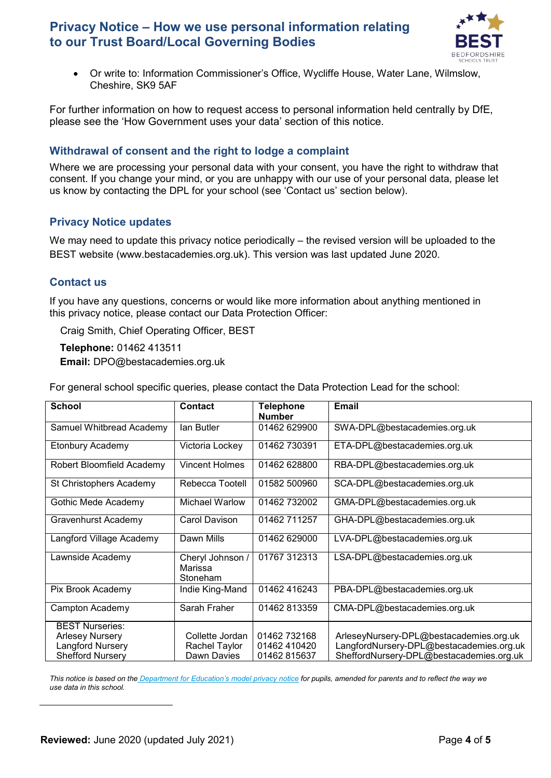

• Or write to: Information Commissioner's Office, Wycliffe House, Water Lane, Wilmslow, Cheshire, SK9 5AF

For further information on how to request access to personal information held centrally by DfE, please see the 'How Government uses your data' section of this notice.

## **Withdrawal of consent and the right to lodge a complaint**

Where we are processing your personal data with your consent, you have the right to withdraw that consent. If you change your mind, or you are unhappy with our use of your personal data, please let us know by contacting the DPL for your school (see 'Contact us' section below).

# **Privacy Notice updates**

We may need to update this privacy notice periodically – the revised version will be uploaded to the BEST website (www.bestacademies.org.uk). This version was last updated June 2020.

# **Contact us**

If you have any questions, concerns or would like more information about anything mentioned in this privacy notice, please contact our Data Protection Officer:

Craig Smith, Chief Operating Officer, BEST

**Telephone:** 01462 413511

**Email:** [DPO@bestacademies.org.uk](mailto:DPO@bestacademies.org.uk)

For general school specific queries, please contact the Data Protection Lead for the school:

| <b>School</b>             | <b>Contact</b>                          |                                   | <b>Email</b>                             |
|---------------------------|-----------------------------------------|-----------------------------------|------------------------------------------|
|                           |                                         | <b>Telephone</b><br><b>Number</b> |                                          |
| Samuel Whitbread Academy  | lan Butler                              | 01462 629900                      | SWA-DPL@bestacademies.org.uk             |
| Etonbury Academy          | Victoria Lockey                         | 01462 730391                      | ETA-DPL@bestacademies.org.uk             |
| Robert Bloomfield Academy | <b>Vincent Holmes</b>                   | 01462 628800                      | RBA-DPL@bestacademies.org.uk             |
| St Christophers Academy   | Rebecca Tootell                         | 01582 500960                      | SCA-DPL@bestacademies.org.uk             |
| Gothic Mede Academy       | Michael Warlow                          | 01462 732002                      | GMA-DPL@bestacademies.org.uk             |
| Gravenhurst Academy       | Carol Davison                           | 01462 711257                      | GHA-DPL@bestacademies.org.uk             |
| Langford Village Academy  | Dawn Mills                              | 01462 629000                      | LVA-DPL@bestacademies.org.uk             |
| Lawnside Academy          | Cheryl Johnson /<br>Marissa<br>Stoneham | 01767 312313                      | LSA-DPL@bestacademies.org.uk             |
| Pix Brook Academy         | Indie King-Mand                         | 01462 416243                      | PBA-DPL@bestacademies.org.uk             |
| Campton Academy           | Sarah Fraher                            | 01462 813359                      | CMA-DPL@bestacademies.org.uk             |
| <b>BEST Nurseries:</b>    |                                         |                                   |                                          |
| <b>Arlesey Nursery</b>    | Collette Jordan                         | 01462 732168                      | ArleseyNursery-DPL@bestacademies.org.uk  |
| Langford Nursery          | Rachel Taylor                           | 01462 410420                      | LangfordNursery-DPL@bestacademies.org.uk |
| <b>Shefford Nursery</b>   | Dawn Davies                             | 01462815637                       | SheffordNursery-DPL@bestacademies.org.uk |

*This notice is based on the Department for Education's model privacy notice for pupils, amended for parents and to reflect the way we use data in this school.*